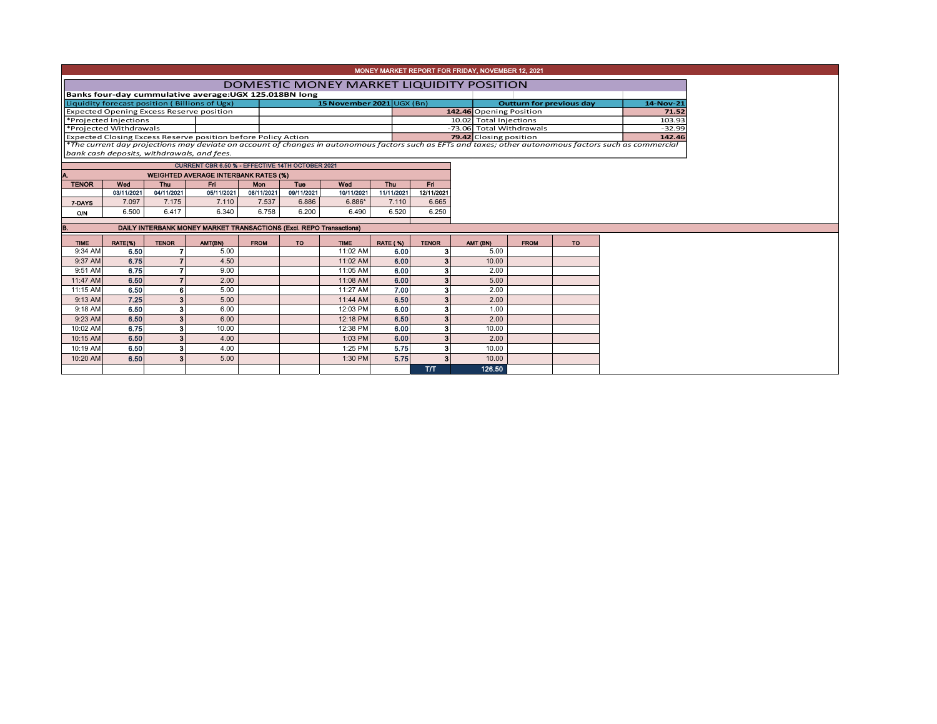| MONEY MARKET REPORT FOR FRIDAY, NOVEMBER 12, 2021      |                        |              |                                                                                                                                                          |             |            |                           |                 |                        |                          |  |             |                                 |                                                                           |           |        |  |  |  |  |  |  |  |  |
|--------------------------------------------------------|------------------------|--------------|----------------------------------------------------------------------------------------------------------------------------------------------------------|-------------|------------|---------------------------|-----------------|------------------------|--------------------------|--|-------------|---------------------------------|---------------------------------------------------------------------------|-----------|--------|--|--|--|--|--|--|--|--|
| DOMESTIC MONEY MARKET LIQUIDITY POSITION               |                        |              |                                                                                                                                                          |             |            |                           |                 |                        |                          |  |             |                                 |                                                                           |           |        |  |  |  |  |  |  |  |  |
| Banks four-day cummulative average: UGX 125.018BN long |                        |              |                                                                                                                                                          |             |            |                           |                 |                        |                          |  |             |                                 |                                                                           |           |        |  |  |  |  |  |  |  |  |
|                                                        |                        |              | Liquidity forecast position (Billions of Ugx)                                                                                                            |             |            | 15 November 2021 UGX (Bn) |                 |                        |                          |  |             | <b>Outturn for previous day</b> |                                                                           | 14-Nov-21 |        |  |  |  |  |  |  |  |  |
|                                                        |                        |              | <b>Expected Opening Excess Reserve position</b>                                                                                                          |             |            |                           |                 |                        | 142.46 Opening Position  |  |             |                                 |                                                                           |           | 71.52  |  |  |  |  |  |  |  |  |
|                                                        | *Projected Injections  |              |                                                                                                                                                          |             |            |                           |                 | 10.02 Total Injections |                          |  |             |                                 |                                                                           | 103.93    |        |  |  |  |  |  |  |  |  |
|                                                        | *Projected Withdrawals |              |                                                                                                                                                          |             |            |                           |                 |                        | -73.06 Total Withdrawals |  |             |                                 |                                                                           | $-32.99$  |        |  |  |  |  |  |  |  |  |
|                                                        |                        |              | Expected Closing Excess Reserve position before Policy Action                                                                                            |             |            |                           |                 |                        | 79.42 Closing position   |  |             |                                 |                                                                           |           | 142.46 |  |  |  |  |  |  |  |  |
|                                                        |                        |              | *The current day projections may deviate on account of changes in autonomous factors such as EFTs and taxes; other autonomous factors such as commercial |             |            |                           |                 |                        |                          |  |             |                                 |                                                                           |           |        |  |  |  |  |  |  |  |  |
|                                                        |                        |              | bank cash deposits, withdrawals, and fees.                                                                                                               |             |            |                           |                 |                        |                          |  |             |                                 |                                                                           |           |        |  |  |  |  |  |  |  |  |
|                                                        |                        |              | CURRENT CBR 6.50 % - EFFECTIVE 14TH OCTOBER 2021                                                                                                         |             |            |                           |                 |                        |                          |  |             |                                 |                                                                           |           |        |  |  |  |  |  |  |  |  |
|                                                        |                        |              | <b>WEIGHTED AVERAGE INTERBANK RATES (%)</b>                                                                                                              |             |            |                           |                 |                        |                          |  |             |                                 |                                                                           |           |        |  |  |  |  |  |  |  |  |
| <b>TENOR</b>                                           | Wed                    | Thu          | Fri.                                                                                                                                                     | <b>Mon</b>  | <b>Tue</b> | Wed                       | Thu             | Fri.                   |                          |  |             |                                 |                                                                           |           |        |  |  |  |  |  |  |  |  |
|                                                        | 03/11/2021             | 04/11/2021   | 05/11/2021                                                                                                                                               | 08/11/2021  | 09/11/2021 | 10/11/2021                | 11/11/2021      | 12/11/2021             |                          |  |             |                                 |                                                                           |           |        |  |  |  |  |  |  |  |  |
| 7-DAYS                                                 | 7.097                  | 7.175        | 7.110                                                                                                                                                    | 7.537       | 6.886      | $6.886*$                  | 7.110           | 6.665                  |                          |  |             |                                 |                                                                           |           |        |  |  |  |  |  |  |  |  |
| O/N                                                    | 6.500                  | 6.417        | 6.340                                                                                                                                                    | 6.758       | 6.200      | 6.490                     | 6.520           | 6.250                  |                          |  |             |                                 |                                                                           |           |        |  |  |  |  |  |  |  |  |
|                                                        |                        |              |                                                                                                                                                          |             |            |                           |                 |                        |                          |  |             |                                 |                                                                           |           |        |  |  |  |  |  |  |  |  |
|                                                        |                        |              |                                                                                                                                                          |             |            |                           |                 |                        |                          |  |             |                                 | В.<br>DAILY INTERBANK MONEY MARKET TRANSACTIONS (Excl. REPO Transactions) |           |        |  |  |  |  |  |  |  |  |
| <b>TIME</b>                                            | RATE(%)                | <b>TENOR</b> | AMT(BN)                                                                                                                                                  | <b>FROM</b> | <b>TO</b>  |                           |                 |                        |                          |  |             |                                 |                                                                           |           |        |  |  |  |  |  |  |  |  |
|                                                        |                        |              |                                                                                                                                                          |             |            | <b>TIME</b>               | <b>RATE (%)</b> | <b>TENOR</b>           | AMT (BN)                 |  | <b>FROM</b> | <b>TO</b>                       |                                                                           |           |        |  |  |  |  |  |  |  |  |
| 9:34 AM                                                | 6.50                   |              | 5.00                                                                                                                                                     |             |            | 11:02 AM                  | 6.00            | 3                      | 5.00                     |  |             |                                 |                                                                           |           |        |  |  |  |  |  |  |  |  |
| 9:37 AM                                                | 6.75                   |              | 4.50                                                                                                                                                     |             |            | 11:02 AM                  | 6.00            | 3 <sup>1</sup>         | 10.00                    |  |             |                                 |                                                                           |           |        |  |  |  |  |  |  |  |  |
| 9:51 AM                                                | 6.75                   |              | 9.00                                                                                                                                                     |             |            | 11:05 AM                  | 6.00            | 3                      | 2.00                     |  |             |                                 |                                                                           |           |        |  |  |  |  |  |  |  |  |
| 11:47 AM                                               | 6.50                   |              | 2.00                                                                                                                                                     |             |            | 11:08 AM                  | 6.00            | 3 <sup>1</sup>         | 5.00                     |  |             |                                 |                                                                           |           |        |  |  |  |  |  |  |  |  |
| 11:15 AM                                               | 6.50                   |              | 5.00                                                                                                                                                     |             |            | 11:27 AM                  | 7.00            | 3 <sup>1</sup>         | 2.00                     |  |             |                                 |                                                                           |           |        |  |  |  |  |  |  |  |  |
| 9:13 AM                                                | 7.25                   |              | 5.00                                                                                                                                                     |             |            | 11:44 AM                  | 6.50            | 3 <sup>1</sup>         | 2.00                     |  |             |                                 |                                                                           |           |        |  |  |  |  |  |  |  |  |
| 9:18 AM                                                | 6.50                   |              | 6.00                                                                                                                                                     |             |            | 12:03 PM                  | 6.00            | 3 <sup>1</sup>         | 1.00                     |  |             |                                 |                                                                           |           |        |  |  |  |  |  |  |  |  |
| 9:23 AM                                                | 6.50                   |              | 6.00                                                                                                                                                     |             |            | 12:18 PM                  | 6.50            | 3 <sup>1</sup>         | 2.00                     |  |             |                                 |                                                                           |           |        |  |  |  |  |  |  |  |  |
| 10:02 AM                                               | 6.75                   |              | 10.00                                                                                                                                                    |             |            | 12:38 PM                  | 6.00            | 3 <sup>1</sup>         | 10.00                    |  |             |                                 |                                                                           |           |        |  |  |  |  |  |  |  |  |
| 10:15 AM                                               | 6.50                   |              | 4.00                                                                                                                                                     |             |            | 1:03 PM                   | 6.00            | 3                      | 2.00                     |  |             |                                 |                                                                           |           |        |  |  |  |  |  |  |  |  |
| 10:19 AM                                               | 6.50                   |              | 4.00                                                                                                                                                     |             |            | 1:25 PM                   | 5.75            | з                      | 10.00                    |  |             |                                 |                                                                           |           |        |  |  |  |  |  |  |  |  |
| 10:20 AM                                               | 6.50                   |              | 5.00                                                                                                                                                     |             |            | 1:30 PM                   | 5.75            |                        | 10.00                    |  |             |                                 |                                                                           |           |        |  |  |  |  |  |  |  |  |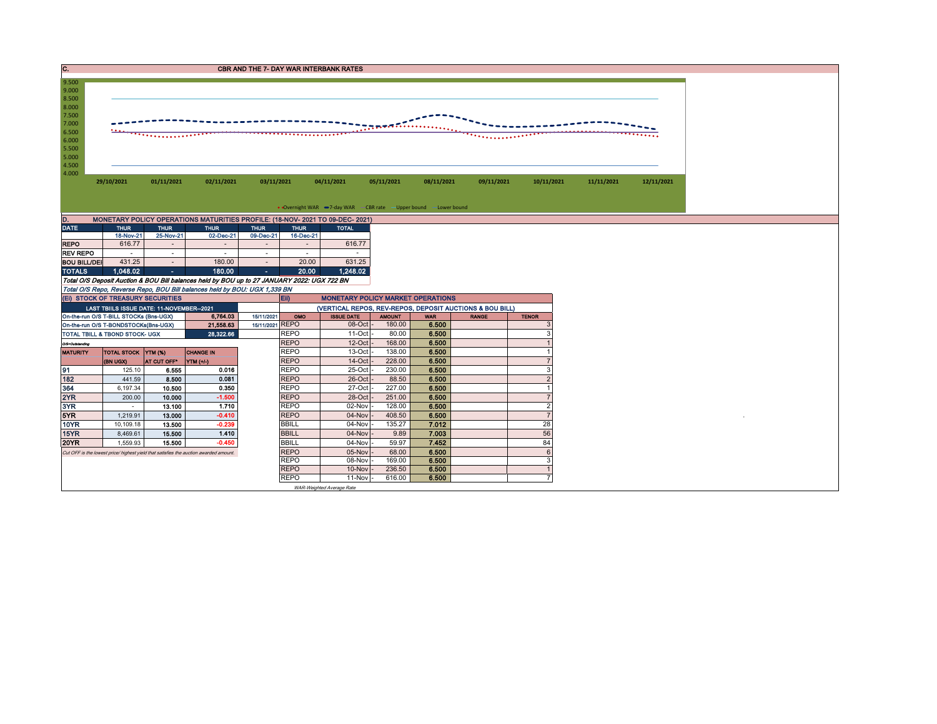| <b>CBR AND THE 7- DAY WAR INTERBANK RATES</b> |
|-----------------------------------------------|
|                                               |



| . .<br><b>MONETAINT TOLIOT OF LIVITIONS MATION HEST INSTILL. LIVING TEST TO 00 DEVILUE</b> |             |                              |                |                              |             |              |  |  |  |  |  |  |  |
|--------------------------------------------------------------------------------------------|-------------|------------------------------|----------------|------------------------------|-------------|--------------|--|--|--|--|--|--|--|
| <b>DATE</b>                                                                                | <b>THUR</b> | <b>THUR</b>                  | <b>THUR</b>    | <b>THUR</b>                  | <b>THUR</b> | <b>TOTAL</b> |  |  |  |  |  |  |  |
|                                                                                            | 18-Nov-21   | 25-Nov-21                    | 02-Dec-21      | 09-Dec-21                    | 16-Dec-21   |              |  |  |  |  |  |  |  |
| <b>REPO</b>                                                                                | 616.77      | $\qquad \qquad \blacksquare$ | $\blacksquare$ | $\qquad \qquad \blacksquare$ |             | 616.77       |  |  |  |  |  |  |  |
| <b>REV REPO</b>                                                                            | ۰           | ۰                            | ۰              | ۰                            | ۰           |              |  |  |  |  |  |  |  |
| <b>BOU BILL/DEI</b>                                                                        | 431.25      |                              | 180.00         | $\blacksquare$               | 20.00       | 631.25       |  |  |  |  |  |  |  |
| <b>TOTALS</b>                                                                              | 1.048.02    | ۰                            | 180.00         | ٠                            | 20.00       | 1,248.02     |  |  |  |  |  |  |  |

Total O/S Deposit Auction & BOU Bill balances held by BOU up to 27 JANUARY 2022: UGX 722 BN Total O/S Repo, Reverse Repo, BOU Bill balances held by BOU: UGX 1,339 BN

|                 | (EI) STOCK OF TREASURY SECURITIES         |                         |                                                                                       |                 | $E$ ii)      | <b>MONETARY POLICY MARKET OPERATIONS</b>                 |               |            |              |              |  |  |  |  |
|-----------------|-------------------------------------------|-------------------------|---------------------------------------------------------------------------------------|-----------------|--------------|----------------------------------------------------------|---------------|------------|--------------|--------------|--|--|--|--|
|                 | LAST TBIILS ISSUE DATE: 11-NOVEMBER--2021 |                         |                                                                                       |                 |              | (VERTICAL REPOS, REV-REPOS, DEPOSIT AUCTIONS & BOU BILL) |               |            |              |              |  |  |  |  |
|                 | On-the-run O/S T-BILL STOCKs (Bns-UGX)    |                         | 6,764.03                                                                              | 15/11/2021      | OMO          | <b>ISSUE DATE</b>                                        | <b>AMOUNT</b> | <b>WAR</b> | <b>RANGE</b> | <b>TENOR</b> |  |  |  |  |
|                 | On-the-run O/S T-BONDSTOCKs(Bns-UGX)      |                         | 21,558.63                                                                             | 15/11/2021 REPO |              | 08-Oct                                                   | 180.00        | 6.500      |              |              |  |  |  |  |
|                 | <b>TOTAL TBILL &amp; TBOND STOCK- UGX</b> |                         | 28,322.66                                                                             |                 | <b>REPO</b>  | $11$ -Oct -                                              | 80.00         | 6.500      |              |              |  |  |  |  |
| O/S=Outstanding |                                           |                         |                                                                                       |                 | <b>REPO</b>  | $12$ -Oct                                                | 168.00        | 6.500      |              |              |  |  |  |  |
| <b>MATURITY</b> | TOTAL STOCK YTM (%)                       |                         | <b>CHANGE IN</b>                                                                      |                 | <b>REPO</b>  | $13-Oct$                                                 | 138.00        | 6.500      |              |              |  |  |  |  |
|                 | (BN UGX)                                  | AT CUT OFF <sup>®</sup> | YTM (+/-)                                                                             |                 | <b>REPO</b>  | $14$ -Oct                                                | 228,00        | 6.500      |              |              |  |  |  |  |
| 91              | 125.10                                    | 6.555                   | 0.016                                                                                 |                 | <b>REPO</b>  | 25-Oct                                                   | 230.00        | 6.500      |              |              |  |  |  |  |
| 182             | 441.59                                    | 8.500                   | 0.081                                                                                 |                 | <b>REPO</b>  | $26$ -Oct                                                | 88.50         | 6.500      |              |              |  |  |  |  |
| 364             | 6,197.34                                  | 10.500                  | 0.350                                                                                 |                 | <b>REPO</b>  | 27-Oct                                                   | 227.00        | 6.500      |              |              |  |  |  |  |
| 2YR             | 200.00                                    | 10.000                  | $-1.500$                                                                              |                 | <b>REPO</b>  | 28-Oct                                                   | 251.00        | 6.500      |              |              |  |  |  |  |
| 3YR             |                                           | 13.100                  | 1.710                                                                                 |                 | <b>REPO</b>  | $02$ -Nov                                                | 128.00        | 6.500      |              |              |  |  |  |  |
| 5YR             | 1,219.91                                  | 13.000                  | $-0.410$                                                                              |                 | <b>REPO</b>  | $04-Nov -$                                               | 408.50        | 6.500      |              |              |  |  |  |  |
| 10YR            | 10,109.18                                 | 13.500                  | $-0.239$                                                                              |                 | <b>BBILL</b> | $04$ -Nov $\vert \cdot$                                  | 135.27        | 7.012      |              | 28           |  |  |  |  |
| 15YR            | 8,469.61                                  | 15.500                  | 1.410                                                                                 |                 | <b>BBILL</b> | $04-Nov$                                                 | 9.89          | 7.003      |              | 56           |  |  |  |  |
| <b>20YR</b>     | 1,559.93                                  | 15.500                  | $-0.450$                                                                              |                 | <b>BBILL</b> | $04$ -Nov $\vert \cdot$                                  | 59.97         | 7.452      |              | 84           |  |  |  |  |
|                 |                                           |                         | Cut OFF is the lowest price/ highest yield that satisfies the auction awarded amount. |                 | <b>REPO</b>  | $05-Nov$                                                 | 68.00         | 6.500      |              |              |  |  |  |  |
|                 |                                           |                         |                                                                                       |                 | <b>REPO</b>  | 08-Nov                                                   | 169.00        | 6.500      |              |              |  |  |  |  |
|                 |                                           |                         |                                                                                       |                 | <b>REPO</b>  | $10$ -Nov $-$                                            | 236.50        | 6.500      |              |              |  |  |  |  |
|                 |                                           |                         |                                                                                       |                 | <b>REPO</b>  | $11-Nov$                                                 | 616.00        | 6.500      |              |              |  |  |  |  |
|                 |                                           |                         |                                                                                       |                 |              | WAR-Weighted Average Rate                                |               |            |              |              |  |  |  |  |